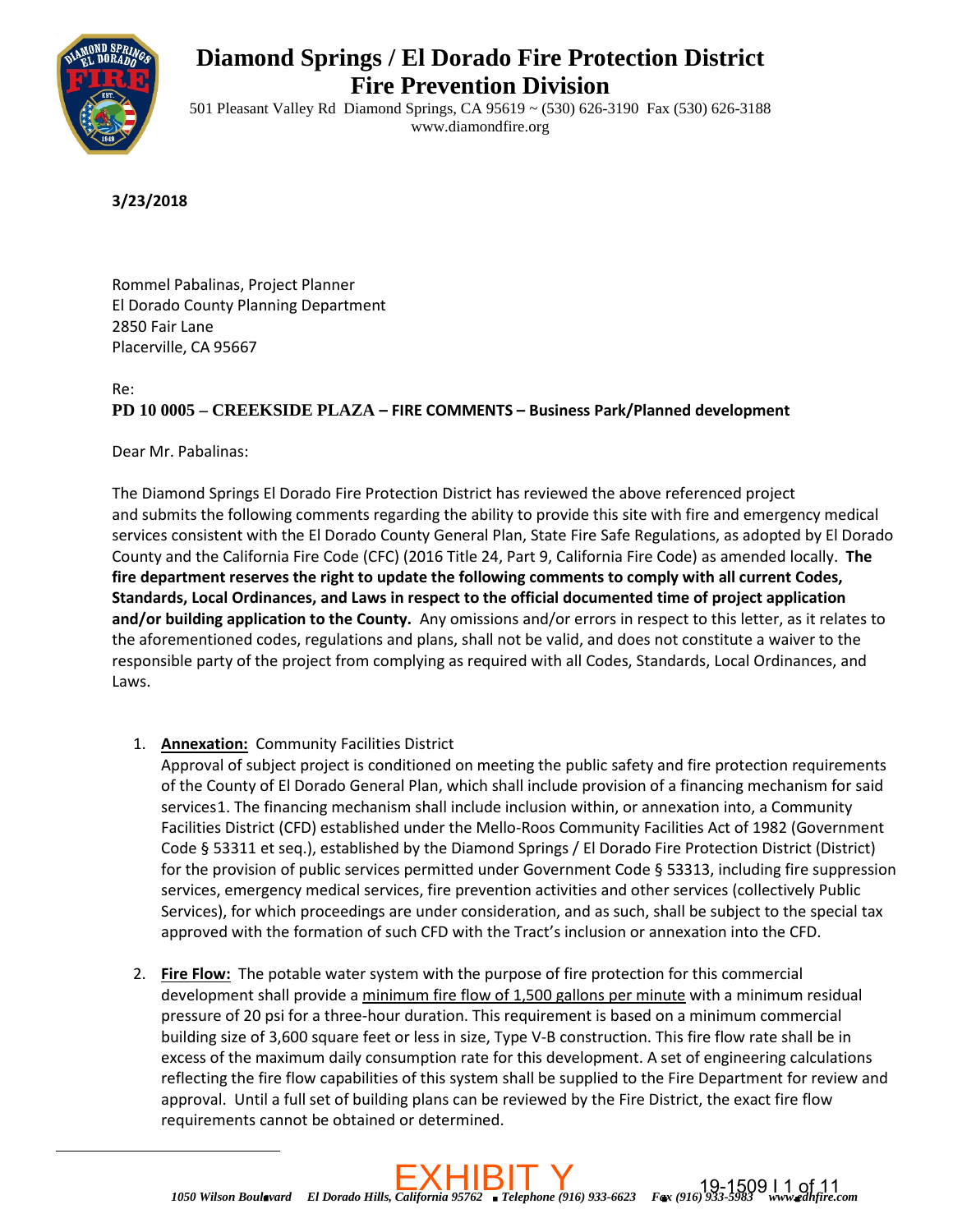

501 Pleasant Valley Rd Diamond Springs, CA 95619 ~ (530) 626-3190 Fax (530) 626-3188 www.diamondfire.org

### **3/23/2018**

Rommel Pabalinas, Project Planner El Dorado County Planning Department 2850 Fair Lane Placerville, CA 95667

#### Re:

<span id="page-0-0"></span> $\overline{a}$ 

### **PD 10 0005 – CREEKSIDE PLAZA – FIRE COMMENTS – Business Park/Planned development**

Dear Mr. Pabalinas:

The Diamond Springs El Dorado Fire Protection District has reviewed the above referenced project and submits the following comments regarding the ability to provide this site with fire and emergency medical services consistent with the El Dorado County General Plan, State Fire Safe Regulations, as adopted by El Dorado County and the California Fire Code (CFC) (2016 Title 24, Part 9, California Fire Code) as amended locally. **The fire department reserves the right to update the following comments to comply with all current Codes, Standards, Local Ordinances, and Laws in respect to the official documented time of project application and/or building application to the County.** Any omissions and/or errors in respect to this letter, as it relates to the aforementioned codes, regulations and plans, shall not be valid, and does not constitute a waiver to the responsible party of the project from complying as required with all Codes, Standards, Local Ordinances, and Laws.

1. **Annexation:** Community Facilities District

Approval of subject project is conditioned on meeting the public safety and fire protection requirements of the County of El Dorado General Plan, which shall include provision of a financing mechanism for said services[1](#page-0-0). The financing mechanism shall include inclusion within, or annexation into, a Community Facilities District (CFD) established under the Mello-Roos Community Facilities Act of 1982 (Government Code § 53311 et seq.), established by the Diamond Springs / El Dorado Fire Protection District (District) for the provision of public services permitted under Government Code § 53313, including fire suppression services, emergency medical services, fire prevention activities and other services (collectively Public Services), for which proceedings are under consideration, and as such, shall be subject to the special tax approved with the formation of such CFD with the Tract's inclusion or annexation into the CFD.

2. **Fire Flow:** The potable water system with the purpose of fire protection for this commercial development shall provide a minimum fire flow of 1,500 gallons per minute with a minimum residual pressure of 20 psi for a three-hour duration. This requirement is based on a minimum commercial building size of 3,600 square feet or less in size, Type V-B construction. This fire flow rate shall be in excess of the maximum daily consumption rate for this development. A set of engineering calculations reflecting the fire flow capabilities of this system shall be supplied to the Fire Department for review and approval. Until a full set of building plans can be reviewed by the Fire District, the exact fire flow requirements cannot be obtained or determined.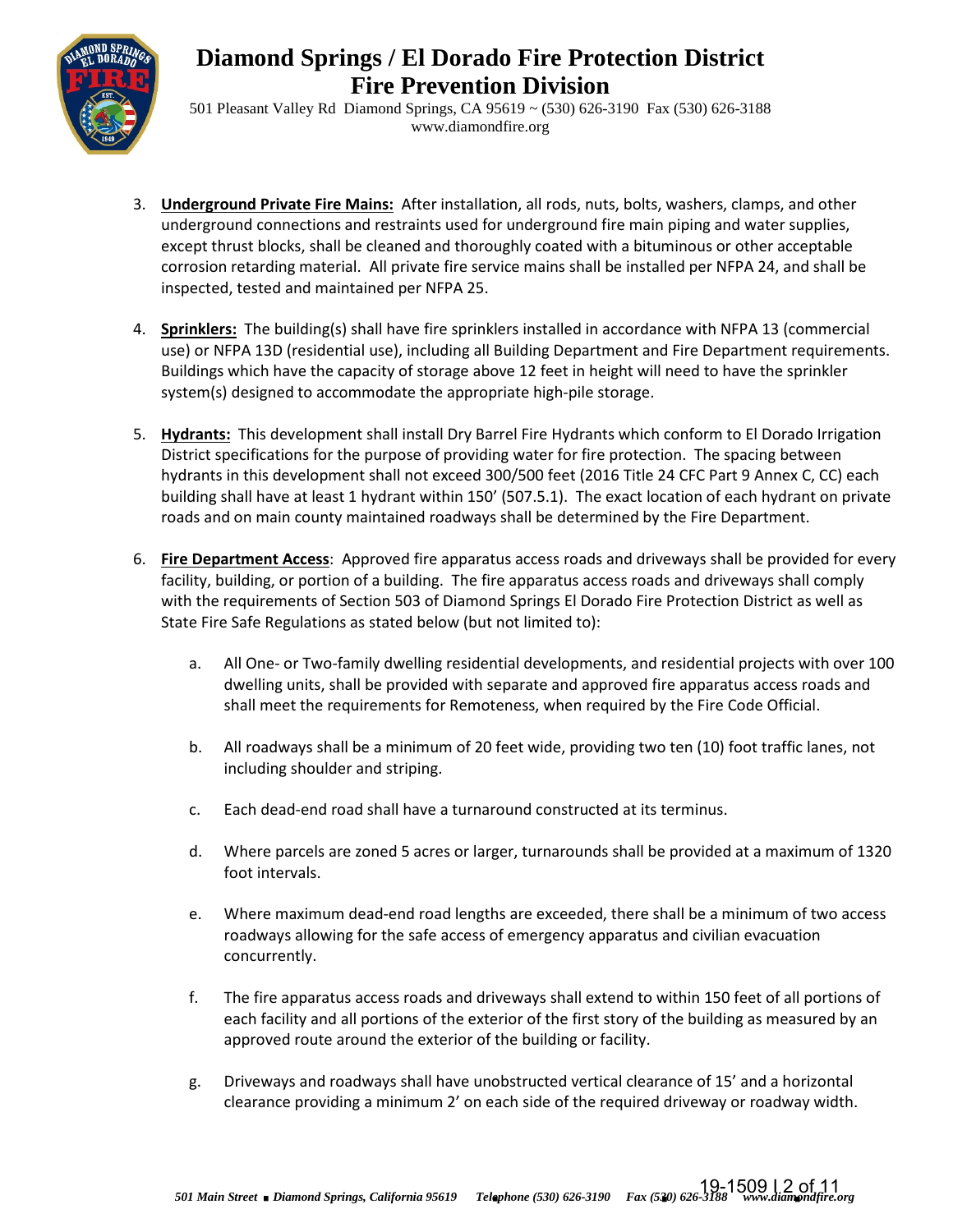

501 Pleasant Valley Rd Diamond Springs, CA 95619 ~ (530) 626-3190 Fax (530) 626-3188 www.diamondfire.org

- 3. **Underground Private Fire Mains:** After installation, all rods, nuts, bolts, washers, clamps, and other underground connections and restraints used for underground fire main piping and water supplies, except thrust blocks, shall be cleaned and thoroughly coated with a bituminous or other acceptable corrosion retarding material. All private fire service mains shall be installed per NFPA 24, and shall be inspected, tested and maintained per NFPA 25.
- 4. **Sprinklers:** The building(s) shall have fire sprinklers installed in accordance with NFPA 13 (commercial use) or NFPA 13D (residential use), including all Building Department and Fire Department requirements. Buildings which have the capacity of storage above 12 feet in height will need to have the sprinkler system(s) designed to accommodate the appropriate high-pile storage.
- 5. **Hydrants:** This development shall install Dry Barrel Fire Hydrants which conform to El Dorado Irrigation District specifications for the purpose of providing water for fire protection. The spacing between hydrants in this development shall not exceed 300/500 feet (2016 Title 24 CFC Part 9 Annex C, CC) each building shall have at least 1 hydrant within 150' (507.5.1). The exact location of each hydrant on private roads and on main county maintained roadways shall be determined by the Fire Department.
- 6. **Fire Department Access**: Approved fire apparatus access roads and driveways shall be provided for every facility, building, or portion of a building. The fire apparatus access roads and driveways shall comply with the requirements of Section 503 of Diamond Springs El Dorado Fire Protection District as well as State Fire Safe Regulations as stated below (but not limited to):
	- a. All One- or Two-family dwelling residential developments, and residential projects with over 100 dwelling units, shall be provided with separate and approved fire apparatus access roads and shall meet the requirements for Remoteness, when required by the Fire Code Official.
	- b. All roadways shall be a minimum of 20 feet wide, providing two ten (10) foot traffic lanes, not including shoulder and striping.
	- c. Each dead-end road shall have a turnaround constructed at its terminus.
	- d. Where parcels are zoned 5 acres or larger, turnarounds shall be provided at a maximum of 1320 foot intervals.
	- e. Where maximum dead-end road lengths are exceeded, there shall be a minimum of two access roadways allowing for the safe access of emergency apparatus and civilian evacuation concurrently.
	- f. The fire apparatus access roads and driveways shall extend to within 150 feet of all portions of each facility and all portions of the exterior of the first story of the building as measured by an approved route around the exterior of the building or facility.
	- g. Driveways and roadways shall have unobstructed vertical clearance of 15' and a horizontal clearance providing a minimum 2' on each side of the required driveway or roadway width.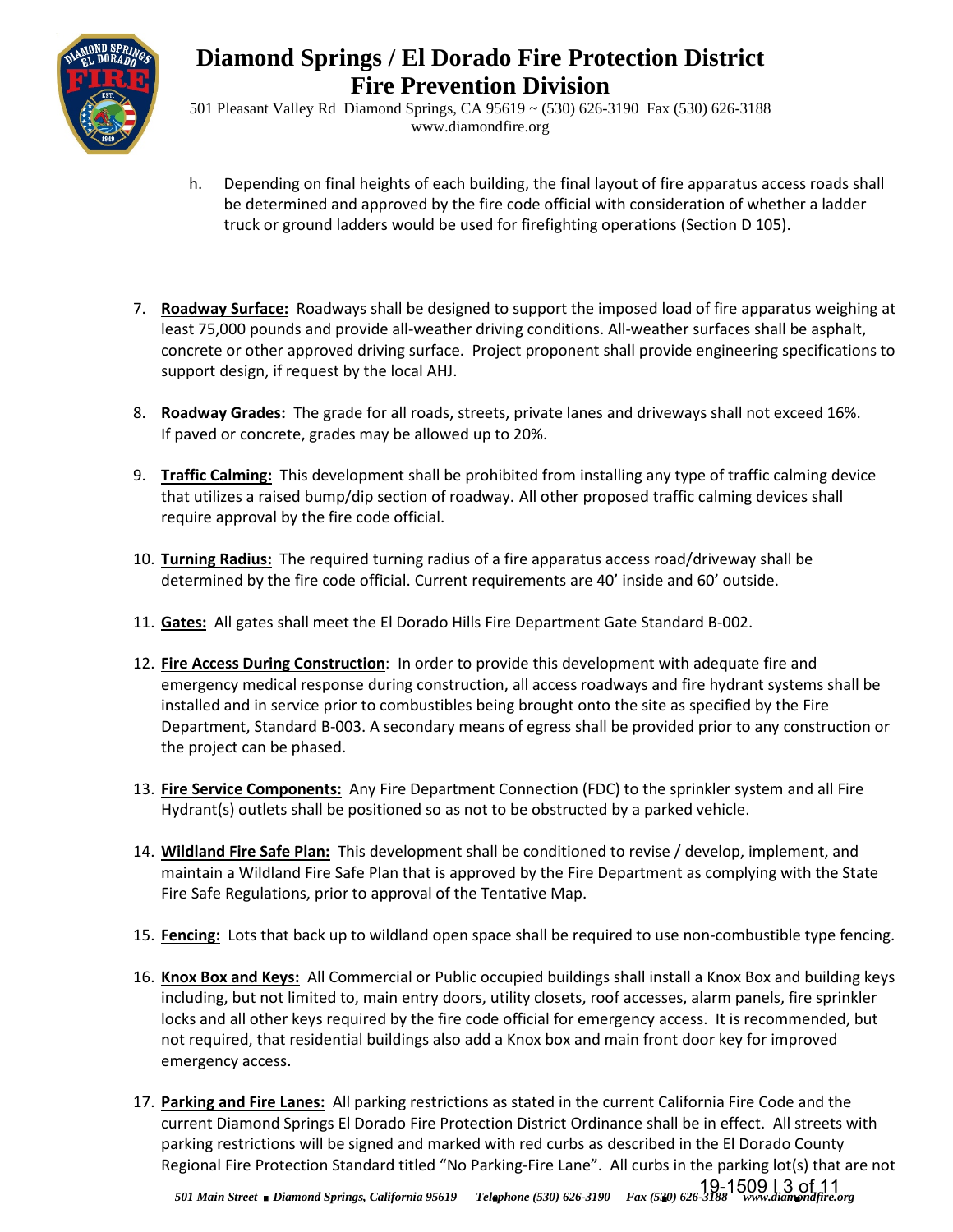

501 Pleasant Valley Rd Diamond Springs, CA 95619 ~ (530) 626-3190 Fax (530) 626-3188 www.diamondfire.org

- h. Depending on final heights of each building, the final layout of fire apparatus access roads shall be determined and approved by the fire code official with consideration of whether a ladder truck or ground ladders would be used for firefighting operations (Section D 105).
- 7. **Roadway Surface:** Roadways shall be designed to support the imposed load of fire apparatus weighing at least 75,000 pounds and provide all-weather driving conditions. All-weather surfaces shall be asphalt, concrete or other approved driving surface. Project proponent shall provide engineering specifications to support design, if request by the local AHJ.
- 8. **Roadway Grades:** The grade for all roads, streets, private lanes and driveways shall not exceed 16%. If paved or concrete, grades may be allowed up to 20%.
- 9. **Traffic Calming:** This development shall be prohibited from installing any type of traffic calming device that utilizes a raised bump/dip section of roadway. All other proposed traffic calming devices shall require approval by the fire code official.
- 10. **Turning Radius:** The required turning radius of a fire apparatus access road/driveway shall be determined by the fire code official. Current requirements are 40' inside and 60' outside.
- 11. **Gates:** All gates shall meet the El Dorado Hills Fire Department Gate Standard B-002.
- 12. **Fire Access During Construction**: In order to provide this development with adequate fire and emergency medical response during construction, all access roadways and fire hydrant systems shall be installed and in service prior to combustibles being brought onto the site as specified by the Fire Department, Standard B-003. A secondary means of egress shall be provided prior to any construction or the project can be phased.
- 13. **Fire Service Components:** Any Fire Department Connection (FDC) to the sprinkler system and all Fire Hydrant(s) outlets shall be positioned so as not to be obstructed by a parked vehicle.
- 14. **Wildland Fire Safe Plan:** This development shall be conditioned to revise / develop, implement, and maintain a Wildland Fire Safe Plan that is approved by the Fire Department as complying with the State Fire Safe Regulations, prior to approval of the Tentative Map.
- 15. **Fencing:** Lots that back up to wildland open space shall be required to use non-combustible type fencing.
- 16. **Knox Box and Keys:** All Commercial or Public occupied buildings shall install a Knox Box and building keys including, but not limited to, main entry doors, utility closets, roof accesses, alarm panels, fire sprinkler locks and all other keys required by the fire code official for emergency access. It is recommended, but not required, that residential buildings also add a Knox box and main front door key for improved emergency access.
- 17. **Parking and Fire Lanes:** All parking restrictions as stated in the current California Fire Code and the current Diamond Springs El Dorado Fire Protection District Ordinance shall be in effect. All streets with parking restrictions will be signed and marked with red curbs as described in the El Dorado County Regional Fire Protection Standard titled "No Parking-Fire Lane". All curbs in the parking lot(s) that are not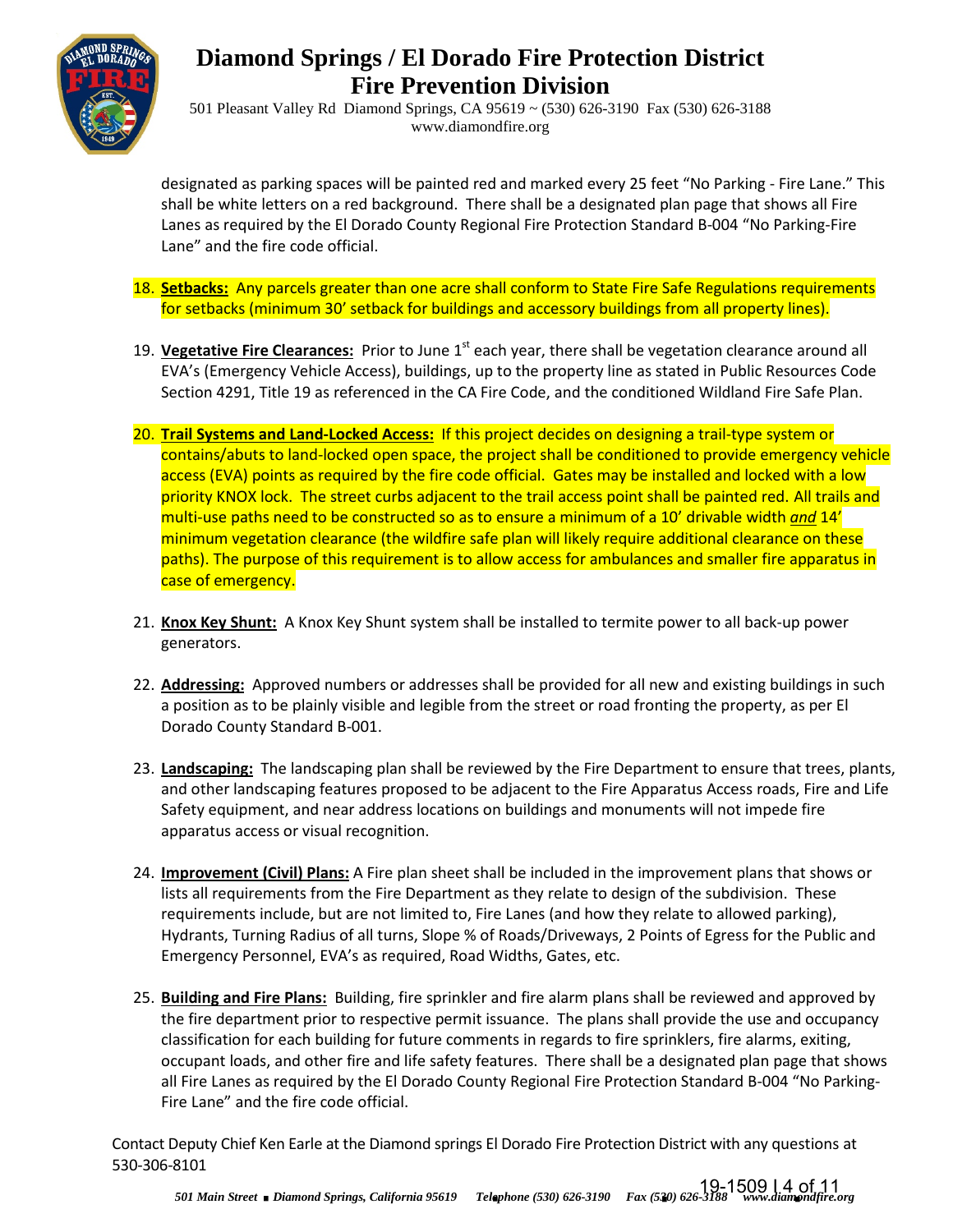

501 Pleasant Valley Rd Diamond Springs, CA 95619 ~ (530) 626-3190 Fax (530) 626-3188 www.diamondfire.org

designated as parking spaces will be painted red and marked every 25 feet "No Parking - Fire Lane." This shall be white letters on a red background. There shall be a designated plan page that shows all Fire Lanes as required by the El Dorado County Regional Fire Protection Standard B-004 "No Parking-Fire Lane" and the fire code official.

- 18. **Setbacks:** Any parcels greater than one acre shall conform to State Fire Safe Regulations requirements for setbacks (minimum 30' setback for buildings and accessory buildings from all property lines).
- 19. Vegetative Fire Clearances: Prior to June 1<sup>st</sup> each year, there shall be vegetation clearance around all EVA's (Emergency Vehicle Access), buildings, up to the property line as stated in Public Resources Code Section 4291, Title 19 as referenced in the CA Fire Code, and the conditioned Wildland Fire Safe Plan.
- 20. **Trail Systems and Land-Locked Access:** If this project decides on designing a trail-type system or contains/abuts to land-locked open space, the project shall be conditioned to provide emergency vehicle access (EVA) points as required by the fire code official. Gates may be installed and locked with a low priority KNOX lock. The street curbs adjacent to the trail access point shall be painted red. All trails and multi-use paths need to be constructed so as to ensure a minimum of a 10' drivable width *and* 14' minimum vegetation clearance (the wildfire safe plan will likely require additional clearance on these paths). The purpose of this requirement is to allow access for ambulances and smaller fire apparatus in case of emergency.
- 21. **Knox Key Shunt:** A Knox Key Shunt system shall be installed to termite power to all back-up power generators.
- 22. **Addressing:** Approved numbers or addresses shall be provided for all new and existing buildings in such a position as to be plainly visible and legible from the street or road fronting the property, as per El Dorado County Standard B-001.
- 23. **Landscaping:** The landscaping plan shall be reviewed by the Fire Department to ensure that trees, plants, and other landscaping features proposed to be adjacent to the Fire Apparatus Access roads, Fire and Life Safety equipment, and near address locations on buildings and monuments will not impede fire apparatus access or visual recognition.
- 24. **Improvement (Civil) Plans:** A Fire plan sheet shall be included in the improvement plans that shows or lists all requirements from the Fire Department as they relate to design of the subdivision. These requirements include, but are not limited to, Fire Lanes (and how they relate to allowed parking), Hydrants, Turning Radius of all turns, Slope % of Roads/Driveways, 2 Points of Egress for the Public and Emergency Personnel, EVA's as required, Road Widths, Gates, etc.
- 25. **Building and Fire Plans:** Building, fire sprinkler and fire alarm plans shall be reviewed and approved by the fire department prior to respective permit issuance. The plans shall provide the use and occupancy classification for each building for future comments in regards to fire sprinklers, fire alarms, exiting, occupant loads, and other fire and life safety features. There shall be a designated plan page that shows all Fire Lanes as required by the El Dorado County Regional Fire Protection Standard B-004 "No Parking-Fire Lane" and the fire code official.

Contact Deputy Chief Ken Earle at the Diamond springs El Dorado Fire Protection District with any questions at 530-306-8101

*501 Main Street Diamond Springs, California 95619 Telephone (530) 626-3190 Fax (530) 626-3188 www.diamondfire.org* 19-1509 I 4 of 11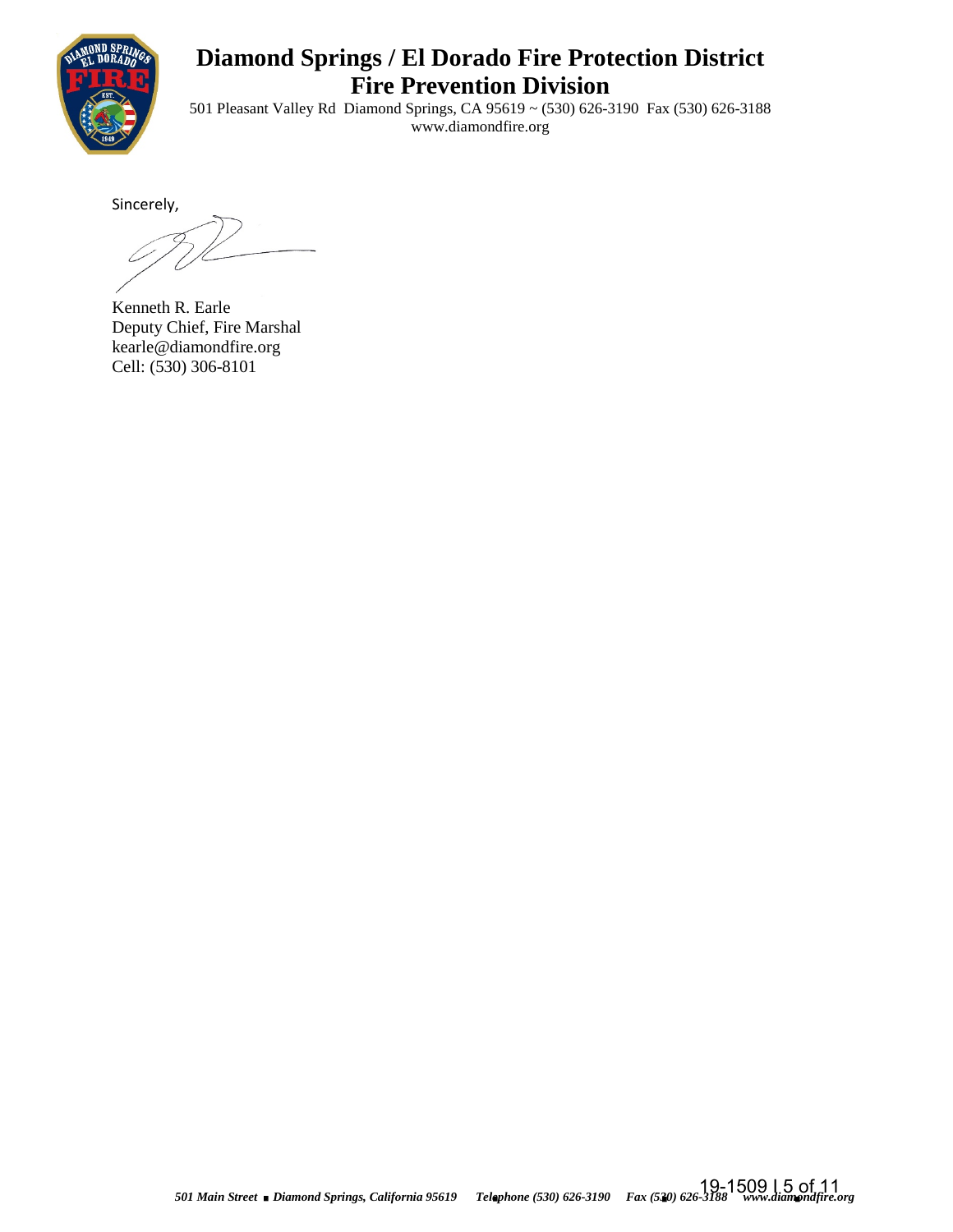

501 Pleasant Valley Rd Diamond Springs, CA 95619 ~ (530) 626-3190 Fax (530) 626-3188 www.diamondfire.org

Sincerely,

Kenneth R. Earle Deputy Chief, Fire Marshal kearle@diamondfire.org Cell: (530) 306-8101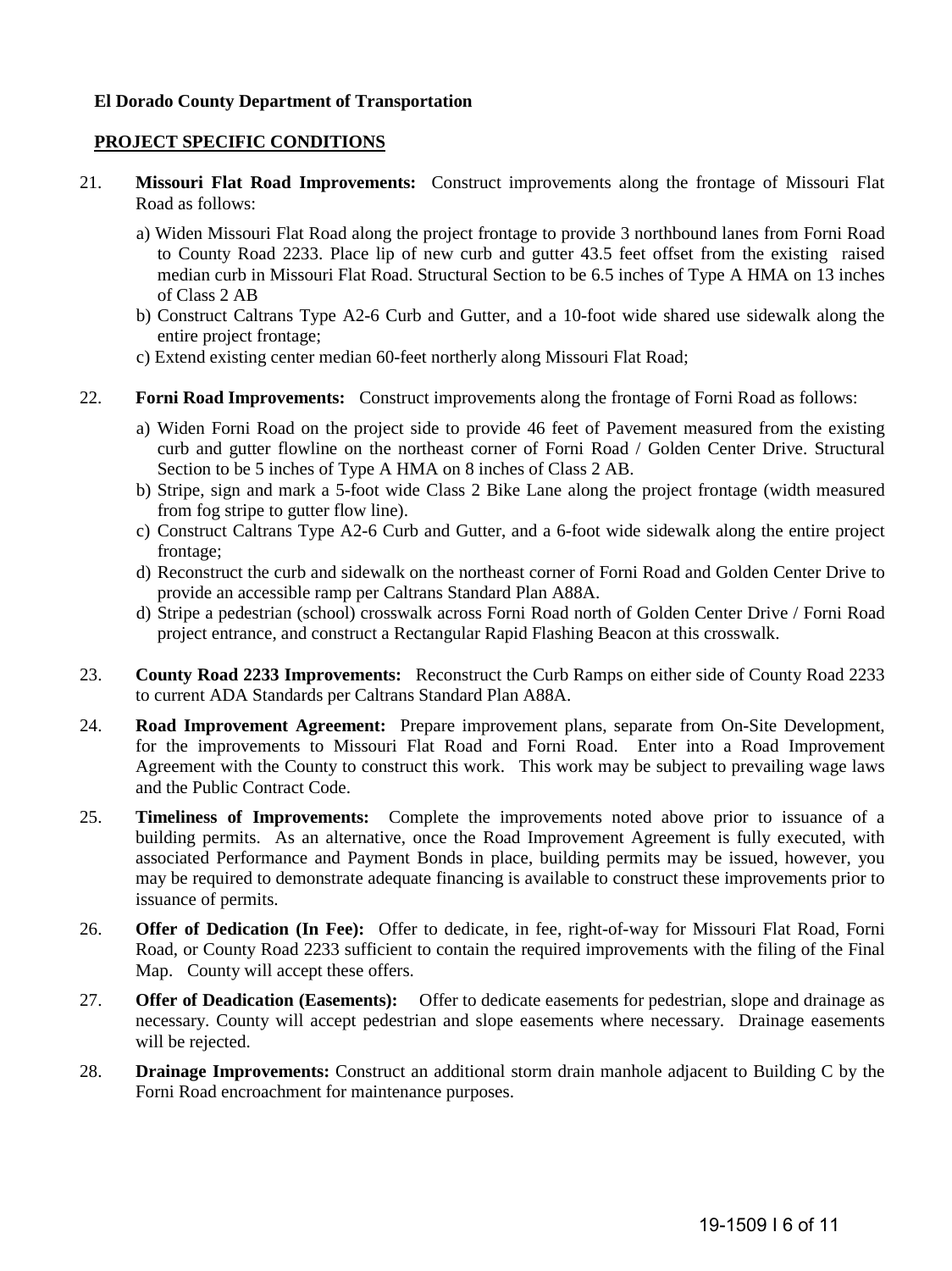#### **El Dorado County Department of Transportation**

#### **PROJECT SPECIFIC CONDITIONS**

- 21. **Missouri Flat Road Improvements:** Construct improvements along the frontage of Missouri Flat Road as follows:
	- a) Widen Missouri Flat Road along the project frontage to provide 3 northbound lanes from Forni Road to County Road 2233. Place lip of new curb and gutter 43.5 feet offset from the existing raised median curb in Missouri Flat Road. Structural Section to be 6.5 inches of Type A HMA on 13 inches of Class 2 AB
	- b) Construct Caltrans Type A2-6 Curb and Gutter, and a 10-foot wide shared use sidewalk along the entire project frontage;
	- c) Extend existing center median 60-feet northerly along Missouri Flat Road;
- 22. **Forni Road Improvements:** Construct improvements along the frontage of Forni Road as follows:
	- a) Widen Forni Road on the project side to provide 46 feet of Pavement measured from the existing curb and gutter flowline on the northeast corner of Forni Road / Golden Center Drive. Structural Section to be 5 inches of Type A HMA on 8 inches of Class 2 AB.
	- b) Stripe, sign and mark a 5-foot wide Class 2 Bike Lane along the project frontage (width measured from fog stripe to gutter flow line).
	- c) Construct Caltrans Type A2-6 Curb and Gutter, and a 6-foot wide sidewalk along the entire project frontage;
	- d) Reconstruct the curb and sidewalk on the northeast corner of Forni Road and Golden Center Drive to provide an accessible ramp per Caltrans Standard Plan A88A.
	- d) Stripe a pedestrian (school) crosswalk across Forni Road north of Golden Center Drive / Forni Road project entrance, and construct a Rectangular Rapid Flashing Beacon at this crosswalk.
- 23. **County Road 2233 Improvements:** Reconstruct the Curb Ramps on either side of County Road 2233 to current ADA Standards per Caltrans Standard Plan A88A.
- 24. **Road Improvement Agreement:** Prepare improvement plans, separate from On-Site Development, for the improvements to Missouri Flat Road and Forni Road. Enter into a Road Improvement Agreement with the County to construct this work. This work may be subject to prevailing wage laws and the Public Contract Code.
- 25. **Timeliness of Improvements:** Complete the improvements noted above prior to issuance of a building permits. As an alternative, once the Road Improvement Agreement is fully executed, with associated Performance and Payment Bonds in place, building permits may be issued, however, you may be required to demonstrate adequate financing is available to construct these improvements prior to issuance of permits.
- 26. **Offer of Dedication (In Fee):** Offer to dedicate, in fee, right-of-way for Missouri Flat Road, Forni Road, or County Road 2233 sufficient to contain the required improvements with the filing of the Final Map. County will accept these offers.
- 27. **Offer of Deadication (Easements):** Offer to dedicate easements for pedestrian, slope and drainage as necessary. County will accept pedestrian and slope easements where necessary. Drainage easements will be rejected.
- 28. **Drainage Improvements:** Construct an additional storm drain manhole adjacent to Building C by the Forni Road encroachment for maintenance purposes.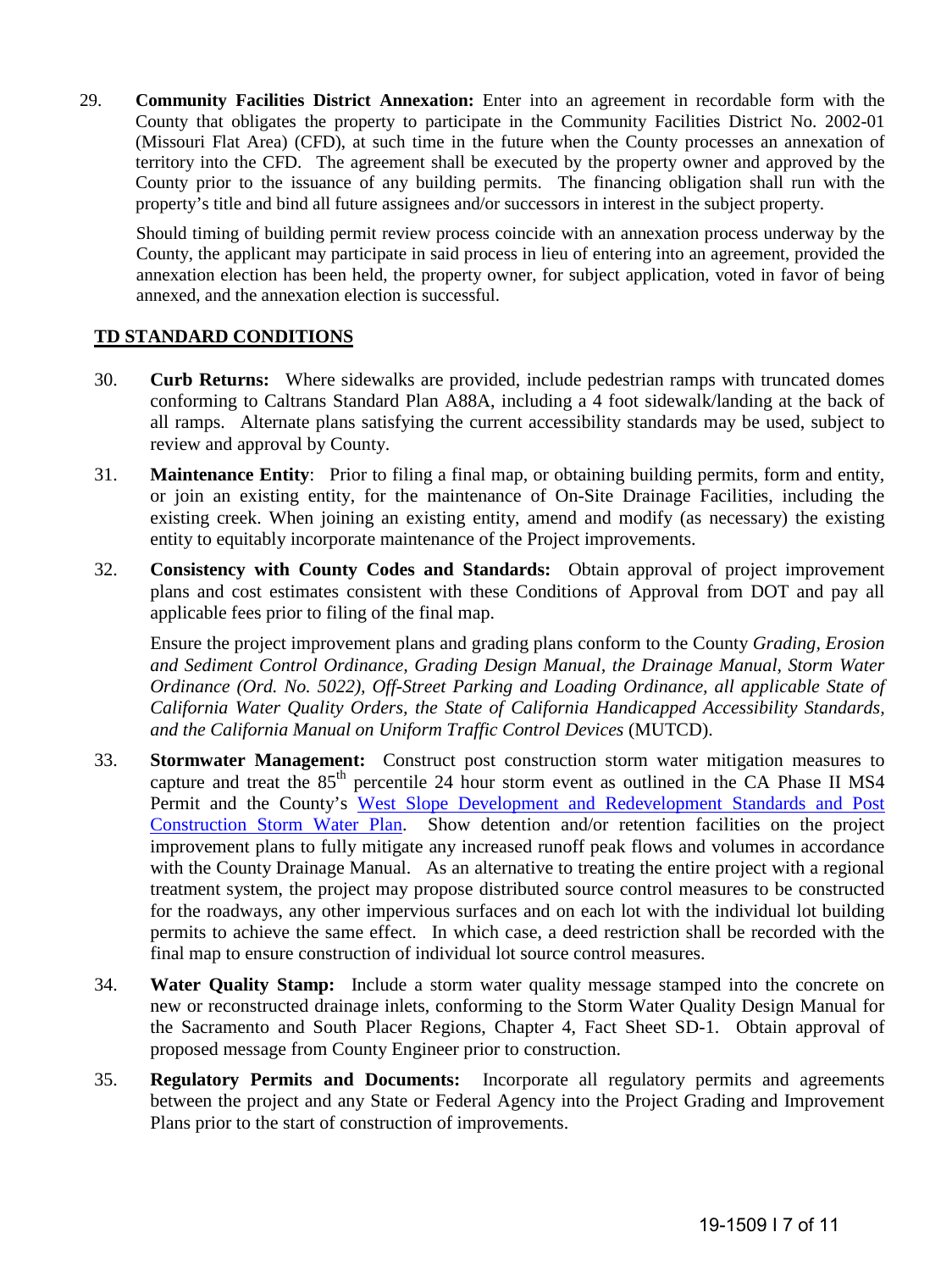29. **Community Facilities District Annexation:** Enter into an agreement in recordable form with the County that obligates the property to participate in the Community Facilities District No. 2002-01 (Missouri Flat Area) (CFD), at such time in the future when the County processes an annexation of territory into the CFD. The agreement shall be executed by the property owner and approved by the County prior to the issuance of any building permits. The financing obligation shall run with the property's title and bind all future assignees and/or successors in interest in the subject property.

Should timing of building permit review process coincide with an annexation process underway by the County, the applicant may participate in said process in lieu of entering into an agreement, provided the annexation election has been held, the property owner, for subject application, voted in favor of being annexed, and the annexation election is successful.

## **TD STANDARD CONDITIONS**

- 30. **Curb Returns:** Where sidewalks are provided, include pedestrian ramps with truncated domes conforming to Caltrans Standard Plan A88A, including a 4 foot sidewalk/landing at the back of all ramps. Alternate plans satisfying the current accessibility standards may be used, subject to review and approval by County.
- 31. **Maintenance Entity**: Prior to filing a final map, or obtaining building permits, form and entity, or join an existing entity, for the maintenance of On-Site Drainage Facilities, including the existing creek. When joining an existing entity, amend and modify (as necessary) the existing entity to equitably incorporate maintenance of the Project improvements.
- 32. **Consistency with County Codes and Standards:** Obtain approval of project improvement plans and cost estimates consistent with these Conditions of Approval from DOT and pay all applicable fees prior to filing of the final map.

Ensure the project improvement plans and grading plans conform to the County *Grading, Erosion and Sediment Control Ordinance, Grading Design Manual, the Drainage Manual, Storm Water Ordinance (Ord. No. 5022), Off-Street Parking and Loading Ordinance, all applicable State of California Water Quality Orders, the State of California Handicapped Accessibility Standards, and the California Manual on Uniform Traffic Control Devices* (MUTCD).

- 33. **Stormwater Management:** Construct post construction storm water mitigation measures to capture and treat the  $85<sup>th</sup>$  percentile 24 hour storm event as outlined in the CA Phase II MS4 Permit and the County's [West Slope Development and Redevelopment Standards and Post](http://www.edcgov.us/LongRangePlanning/StormWaterManagement/West_Slope_Development_and_Redevelopment_Standards.aspx)  [Construction Storm Water Plan.](http://www.edcgov.us/LongRangePlanning/StormWaterManagement/West_Slope_Development_and_Redevelopment_Standards.aspx) Show detention and/or retention facilities on the project improvement plans to fully mitigate any increased runoff peak flows and volumes in accordance with the County Drainage Manual. As an alternative to treating the entire project with a regional treatment system, the project may propose distributed source control measures to be constructed for the roadways, any other impervious surfaces and on each lot with the individual lot building permits to achieve the same effect. In which case, a deed restriction shall be recorded with the final map to ensure construction of individual lot source control measures.
- 34. **Water Quality Stamp:** Include a storm water quality message stamped into the concrete on new or reconstructed drainage inlets, conforming to the Storm Water Quality Design Manual for the Sacramento and South Placer Regions, Chapter 4, Fact Sheet SD-1. Obtain approval of proposed message from County Engineer prior to construction.
- 35. **Regulatory Permits and Documents:** Incorporate all regulatory permits and agreements between the project and any State or Federal Agency into the Project Grading and Improvement Plans prior to the start of construction of improvements.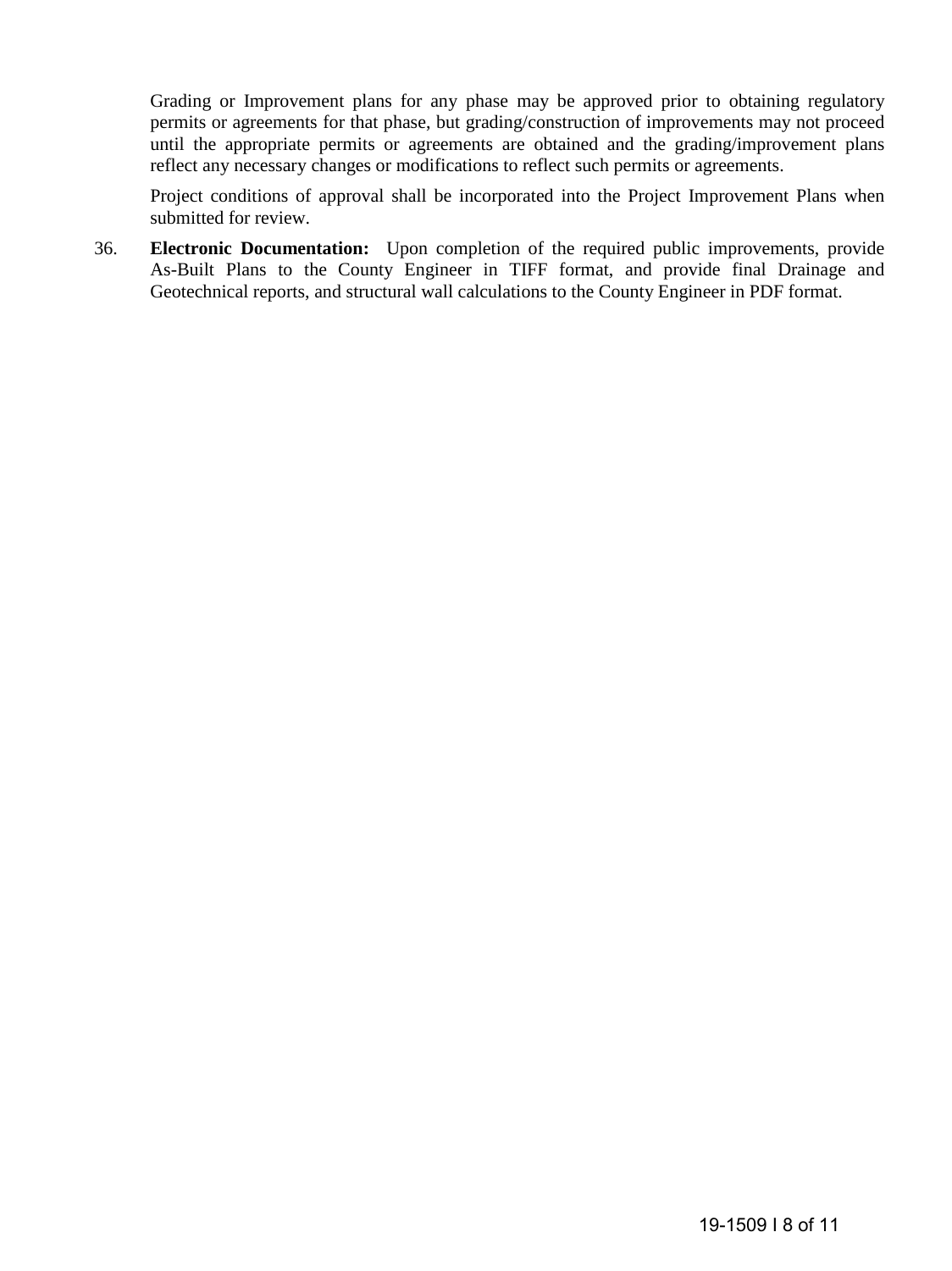Grading or Improvement plans for any phase may be approved prior to obtaining regulatory permits or agreements for that phase, but grading/construction of improvements may not proceed until the appropriate permits or agreements are obtained and the grading/improvement plans reflect any necessary changes or modifications to reflect such permits or agreements.

Project conditions of approval shall be incorporated into the Project Improvement Plans when submitted for review.

36. **Electronic Documentation:** Upon completion of the required public improvements, provide As-Built Plans to the County Engineer in TIFF format, and provide final Drainage and Geotechnical reports, and structural wall calculations to the County Engineer in PDF format.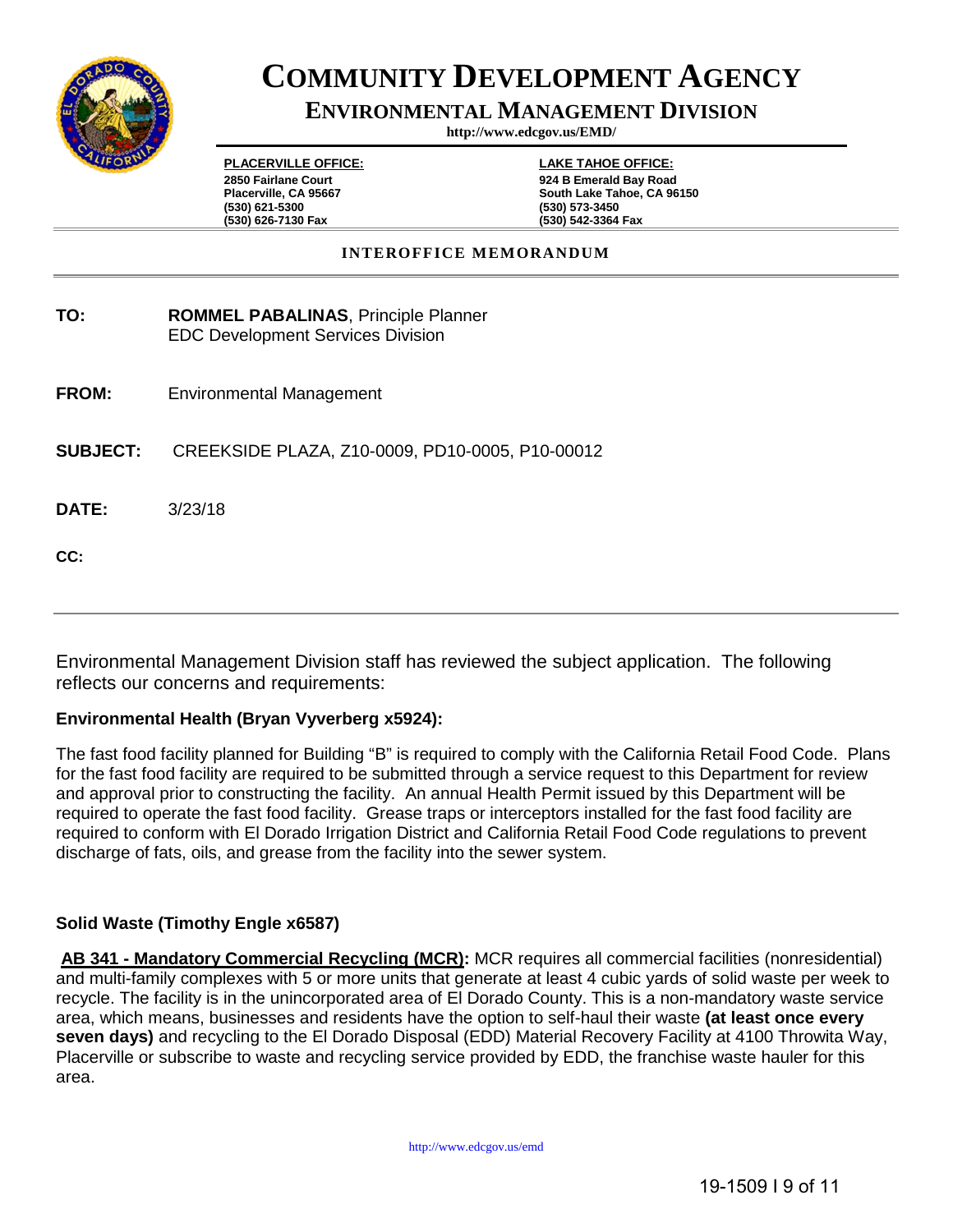

# **COMMUNITY DEVELOPMENT AGENCY**

**ENVIRONMENTAL MANAGEMENT DIVISION** 

**http://www.edcgov.us/EMD/**

**PLACERVILLE OFFICE: 2850 Fairlane Court Placerville, CA 95667 (530) 621-5300 (530) 626-7130 Fax** 

**LAKE TAHOE OFFICE: 924 B Emerald Bay Road South Lake Tahoe, CA 96150 (530) 573-3450 (530) 542-3364 Fax**

#### **INTEROFFICE MEMORANDUM**

| TO:             | <b>ROMMEL PABALINAS, Principle Planner</b><br><b>EDC Development Services Division</b> |
|-----------------|----------------------------------------------------------------------------------------|
| <b>FROM:</b>    | <b>Environmental Management</b>                                                        |
| <b>SUBJECT:</b> | CREEKSIDE PLAZA, Z10-0009, PD10-0005, P10-00012                                        |
| DATE:           | 3/23/18                                                                                |
| CC:             |                                                                                        |
|                 |                                                                                        |

Environmental Management Division staff has reviewed the subject application. The following reflects our concerns and requirements:

### **Environmental Health (Bryan Vyverberg x5924):**

The fast food facility planned for Building "B" is required to comply with the California Retail Food Code. Plans for the fast food facility are required to be submitted through a service request to this Department for review and approval prior to constructing the facility. An annual Health Permit issued by this Department will be required to operate the fast food facility. Grease traps or interceptors installed for the fast food facility are required to conform with El Dorado Irrigation District and California Retail Food Code regulations to prevent discharge of fats, oils, and grease from the facility into the sewer system.

### **Solid Waste (Timothy Engle x6587)**

**AB 341 - Mandatory Commercial Recycling (MCR):** MCR requires all commercial facilities (nonresidential) and multi-family complexes with 5 or more units that generate at least 4 cubic yards of solid waste per week to recycle. The facility is in the unincorporated area of El Dorado County. This is a non-mandatory waste service area, which means, businesses and residents have the option to self-haul their waste **(at least once every seven days)** and recycling to the El Dorado Disposal (EDD) Material Recovery Facility at 4100 Throwita Way, Placerville or subscribe to waste and recycling service provided by EDD, the franchise waste hauler for this area.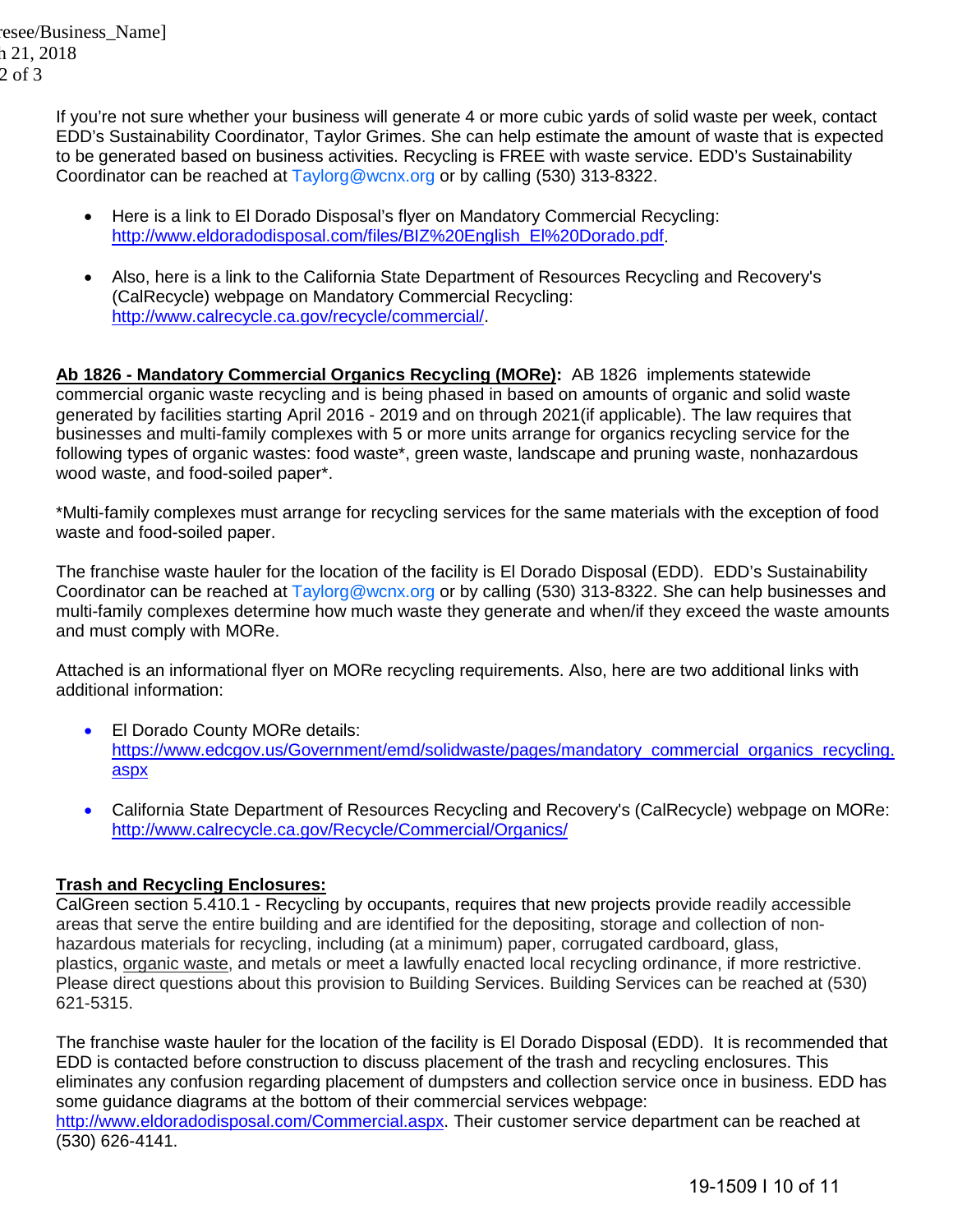resee/Business\_Name] h 21, 2018 2 of 3

> If you're not sure whether your business will generate 4 or more cubic yards of solid waste per week, contact EDD's Sustainability Coordinator, Taylor Grimes. She can help estimate the amount of waste that is expected to be generated based on business activities. Recycling is FREE with waste service. EDD's Sustainability Coordinator can be reached at Taylorg@wcnx.org or by calling (530) 313-8322.

- Here is a link to El Dorado Disposal's flyer on Mandatory Commercial Recycling: [http://www.eldoradodisposal.com/files/BIZ%20English\\_El%20Dorado.pdf.](http://www.eldoradodisposal.com/files/BIZ%20English_El%20Dorado.pdf)
- Also, here is a link to the California State Department of Resources Recycling and Recovery's (CalRecycle) webpage on Mandatory Commercial Recycling: [http://www.calrecycle.ca.gov/recycle/commercial/.](http://www.calrecycle.ca.gov/recycle/commercial/)

**Ab 1826 - Mandatory Commercial Organics Recycling (MORe):** AB 1826 implements statewide commercial organic waste recycling and is being phased in based on amounts of organic and solid waste generated by facilities starting April 2016 - 2019 and on through 2021(if applicable). The law requires that businesses and multi-family complexes with 5 or more units arrange for organics recycling service for the following types of organic wastes: food waste\*, green waste, landscape and pruning waste, nonhazardous wood waste, and food-soiled paper\*.

\*Multi-family complexes must arrange for recycling services for the same materials with the exception of food waste and food-soiled paper.

The franchise waste hauler for the location of the facility is El Dorado [Disposal](http://www.eldoradodisposal.com/Commercial.aspx) (EDD). EDD's Sustainability Coordinator can be reached at Taylorg@wcnx.org or by calling (530) 313-8322. She can help businesses and multi-family complexes determine how much waste they generate and when/if they exceed the waste amounts and must comply with MORe.

Attached is an informational flyer on MORe recycling requirements. Also, here are two additional links with additional information:

- El Dorado County MORe details: [https://www.edcgov.us/Government/emd/solidwaste/pages/mandatory\\_commercial\\_organics\\_recycling.](https://www.edcgov.us/Government/emd/solidwaste/pages/mandatory_commercial_organics_recycling.aspx) [aspx](https://www.edcgov.us/Government/emd/solidwaste/pages/mandatory_commercial_organics_recycling.aspx)
- California State Department of Resources Recycling and Recovery's (CalRecycle) webpage on MORe: <http://www.calrecycle.ca.gov/Recycle/Commercial/Organics/>

### **Trash and Recycling Enclosures:**

CalGreen section 5.410.1 - Recycling by occupants, requires that new projects provide readily accessible areas that serve the entire building and are identified for the depositing, storage and collection of nonhazardous materials for recycling, including (at a minimum) paper, corrugated cardboard, glass, plastics, organic waste, and metals or meet a lawfully enacted local recycling ordinance, if more restrictive. Please direct questions about this provision to Building Services. Building Services can be reached at (530) 621-5315.

The franchise waste hauler for the location of the facility is El Dorado [Disposal](http://www.eldoradodisposal.com/Commercial.aspx) (EDD). It is recommended that EDD is contacted before construction to discuss placement of the trash and recycling enclosures. This eliminates any confusion regarding placement of dumpsters and collection service once in business. EDD has some guidance diagrams at the bottom of their commercial services webpage: [http://www.eldoradodisposal.com/Commercial.aspx.](http://www.eldoradodisposal.com/Commercial.aspx) Their customer service department can be reached at (530) 626-4141.